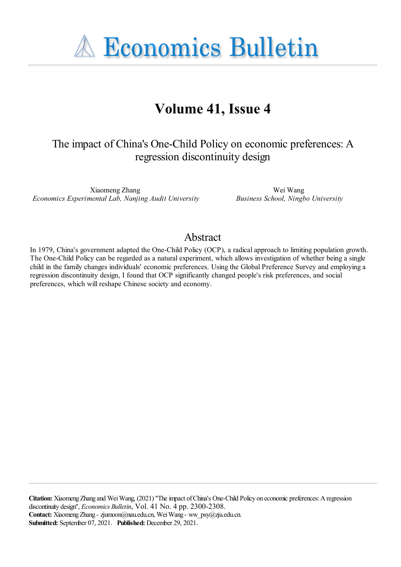**A Economics Bulletin** 

# **Volume 41, Issue 4**

# The impact of China's One-Child Policy on economic preferences: A regression discontinuity design

Xiaomeng Zhang *Economics Experimental Lab, Nanjing Audit University*

Wei Wang *Business School, Ningbo University*

#### Abstract

In 1979, China's government adapted the One-Child Policy (OCP), a radical approach to limiting population growth. The One-Child Policy can be regarded as a natural experiment, which allows investigation of whether being a single child in the family changes individuals' economic preferences. Using the Global Preference Survey and employing a regression discontinuity design, I found that OCP significantly changed people's risk preferences, and social preferences, which will reshape Chinese society and economy.

**Citation:** Xiaomeng Zhang and Wei Wang, (2021) "The impact of China's One-Child Policy on economic preferences: A regression discontinuity design'', *Economics Bulletin*, Vol. 41 No. 4 pp. 2300-2308. Contact: Xiaomeng Zhang - zjumoon@nau.edu.cn, Wei Wang - ww\_psy@zju.edu.cn. **Submitted:** September 07, 2021. **Published:** December 29, 2021.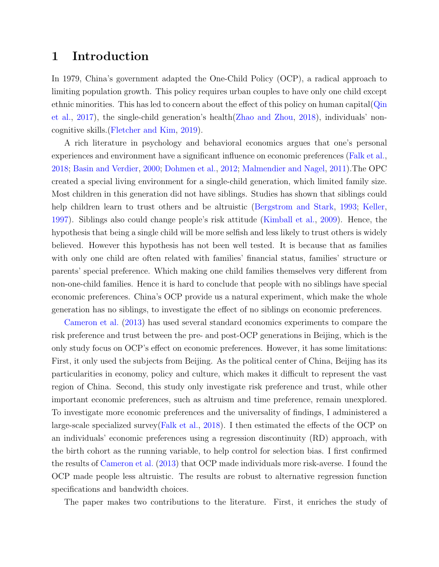#### 1 Introduction

In 1979, China's government adapted the One-Child Policy (OCP), a radical approach to limiting population growth. This policy requires urban couples to have only one child except ethnic minorities. This has led to concern about the effect of this policy on human capital(Qin et al., 2017), the single-child generation's health(Zhao and Zhou, 2018), individuals' noncognitive skills.(Fletcher and Kim, 2019).

A rich literature in psychology and behavioral economics argues that one's personal experiences and environment have a significant influence on economic preferences (Falk et al., 2018; Basin and Verdier, 2000; Dohmen et al., 2012; Malmendier and Nagel, 2011).The OPC created a special living environment for a single-child generation, which limited family size. Most children in this generation did not have siblings. Studies has shown that siblings could help children learn to trust others and be altruistic (Bergstrom and Stark, 1993; Keller, 1997). Siblings also could change people's risk attitude (Kimball et al., 2009). Hence, the hypothesis that being a single child will be more selfish and less likely to trust others is widely believed. However this hypothesis has not been well tested. It is because that as families with only one child are often related with families' financial status, families' structure or parents' special preference. Which making one child families themselves very different from non-one-child families. Hence it is hard to conclude that people with no siblings have special economic preferences. China's OCP provide us a natural experiment, which make the whole generation has no siblings, to investigate the effect of no siblings on economic preferences.

Cameron et al. (2013) has used several standard economics experiments to compare the risk preference and trust between the pre- and post-OCP generations in Beijing, which is the only study focus on OCP's effect on economic preferences. However, it has some limitations: First, it only used the subjects from Beijing. As the political center of China, Beijing has its particularities in economy, policy and culture, which makes it difficult to represent the vast region of China. Second, this study only investigate risk preference and trust, while other important economic preferences, such as altruism and time preference, remain unexplored. To investigate more economic preferences and the universality of findings, I administered a large-scale specialized survey(Falk et al., 2018). I then estimated the effects of the OCP on an individuals' economic preferences using a regression discontinuity (RD) approach, with the birth cohort as the running variable, to help control for selection bias. I first confirmed the results of Cameron et al. (2013) that OCP made individuals more risk-averse. I found the OCP made people less altruistic. The results are robust to alternative regression function specifications and bandwidth choices.

The paper makes two contributions to the literature. First, it enriches the study of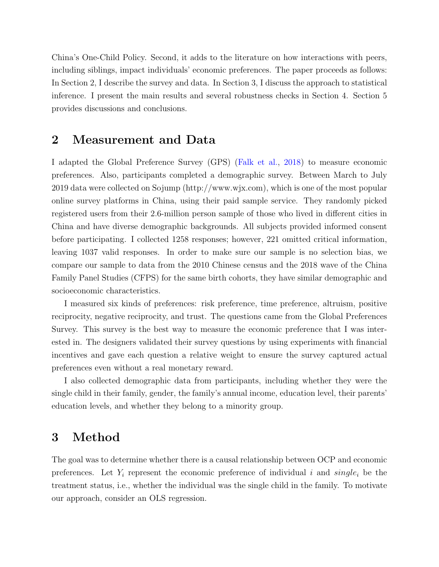China's One-Child Policy. Second, it adds to the literature on how interactions with peers, including siblings, impact individuals' economic preferences. The paper proceeds as follows: In Section 2, I describe the survey and data. In Section 3, I discuss the approach to statistical inference. I present the main results and several robustness checks in Section 4. Section 5 provides discussions and conclusions.

#### 2 Measurement and Data

I adapted the Global Preference Survey (GPS) (Falk et al., 2018) to measure economic preferences. Also, participants completed a demographic survey. Between March to July 2019 data were collected on Sojump (http://www.wjx.com), which is one of the most popular online survey platforms in China, using their paid sample service. They randomly picked registered users from their 2.6-million person sample of those who lived in different cities in China and have diverse demographic backgrounds. All subjects provided informed consent before participating. I collected 1258 responses; however, 221 omitted critical information, leaving 1037 valid responses. In order to make sure our sample is no selection bias, we compare our sample to data from the 2010 Chinese census and the 2018 wave of the China Family Panel Studies (CFPS) for the same birth cohorts, they have similar demographic and socioeconomic characteristics.

I measured six kinds of preferences: risk preference, time preference, altruism, positive reciprocity, negative reciprocity, and trust. The questions came from the Global Preferences Survey. This survey is the best way to measure the economic preference that I was interested in. The designers validated their survey questions by using experiments with financial incentives and gave each question a relative weight to ensure the survey captured actual preferences even without a real monetary reward.

I also collected demographic data from participants, including whether they were the single child in their family, gender, the family's annual income, education level, their parents' education levels, and whether they belong to a minority group.

#### 3 Method

The goal was to determine whether there is a causal relationship between OCP and economic preferences. Let  $Y_i$  represent the economic preference of individual i and  $single_i$  be the treatment status, i.e., whether the individual was the single child in the family. To motivate our approach, consider an OLS regression.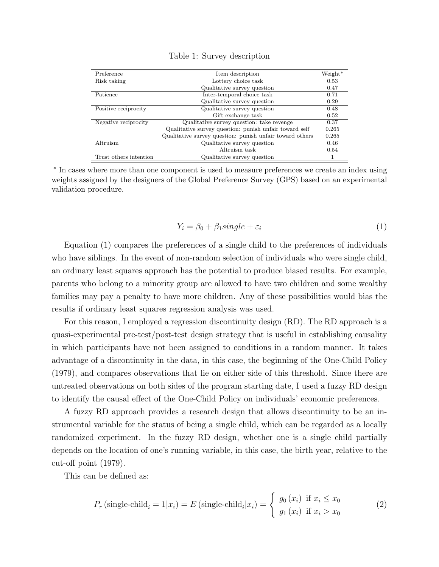| Preference             | Item description                                         |       |  |  |  |
|------------------------|----------------------------------------------------------|-------|--|--|--|
| Risk taking            | Lottery choice task                                      |       |  |  |  |
|                        | Qualitative survey question                              | 0.47  |  |  |  |
| Patience               | Inter-temporal choice task                               | 0.71  |  |  |  |
|                        | Qualitative survey question                              | 0.29  |  |  |  |
| Positive reciprocity   | Qualitative survey question                              | 0.48  |  |  |  |
|                        | Gift exchange task                                       | 0.52  |  |  |  |
| Negative reciprocity   | Qualitative survey question: take revenge                | 0.37  |  |  |  |
|                        | Qualitative survey question: punish unfair toward self   | 0.265 |  |  |  |
|                        | Qualitative survey question: punish unfair toward others | 0.265 |  |  |  |
| Altruism               | Qualitative survey question                              | 0.46  |  |  |  |
|                        | Altruism task                                            | 0.54  |  |  |  |
| Trust others intention | Qualitative survey question                              |       |  |  |  |

Table 1: Survey description

∗ In cases where more than one component is used to measure preferences we create an index using weights assigned by the designers of the Global Preference Survey (GPS) based on an experimental validation procedure.

$$
Y_i = \beta_0 + \beta_1 single + \varepsilon_i \tag{1}
$$

Equation (1) compares the preferences of a single child to the preferences of individuals who have siblings. In the event of non-random selection of individuals who were single child, an ordinary least squares approach has the potential to produce biased results. For example, parents who belong to a minority group are allowed to have two children and some wealthy families may pay a penalty to have more children. Any of these possibilities would bias the results if ordinary least squares regression analysis was used.

For this reason, I employed a regression discontinuity design (RD). The RD approach is a quasi-experimental pre-test/post-test design strategy that is useful in establishing causality in which participants have not been assigned to conditions in a random manner. It takes advantage of a discontinuity in the data, in this case, the beginning of the One-Child Policy (1979), and compares observations that lie on either side of this threshold. Since there are untreated observations on both sides of the program starting date, I used a fuzzy RD design to identify the causal effect of the One-Child Policy on individuals' economic preferences.

A fuzzy RD approach provides a research design that allows discontinuity to be an instrumental variable for the status of being a single child, which can be regarded as a locally randomized experiment. In the fuzzy RD design, whether one is a single child partially depends on the location of one's running variable, in this case, the birth year, relative to the cut-off point (1979).

This can be defined as:

$$
P_r \left(\text{single-child}_i = 1 | x_i\right) = E \left(\text{single-child}_i | x_i\right) = \begin{cases} g_0 \left(x_i\right) & \text{if } x_i \le x_0 \\ g_1 \left(x_i\right) & \text{if } x_i > x_0 \end{cases} \tag{2}
$$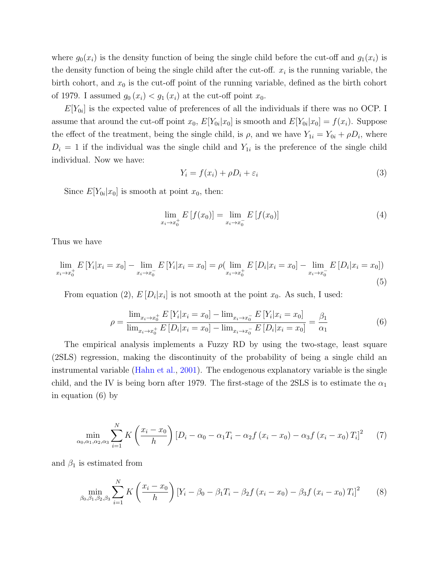where  $g_0(x_i)$  is the density function of being the single child before the cut-off and  $g_1(x_i)$  is the density function of being the single child after the cut-off.  $x_i$  is the running variable, the birth cohort, and  $x_0$  is the cut-off point of the running variable, defined as the birth cohort of 1979. I assumed  $g_0(x_i) < g_1(x_i)$  at the cut-off point  $x_0$ .

 $E[Y_{0i}]$  is the expected value of preferences of all the individuals if there was no OCP. I assume that around the cut-off point  $x_0$ ,  $E[Y_{0i}|x_0]$  is smooth and  $E[Y_{0i}|x_0] = f(x_i)$ . Suppose the effect of the treatment, being the single child, is  $\rho$ , and we have  $Y_{1i} = Y_{0i} + \rho D_i$ , where  $D_i = 1$  if the individual was the single child and  $Y_{1i}$  is the preference of the single child individual. Now we have:

$$
Y_i = f(x_i) + \rho D_i + \varepsilon_i \tag{3}
$$

Since  $E[Y_{0i}|x_0]$  is smooth at point  $x_0$ , then:

$$
\lim_{x_i \to x_0^+} E[f(x_0)] = \lim_{x_i \to x_0^-} E[f(x_0)] \tag{4}
$$

Thus we have

$$
\lim_{x_i \to x_0^+} E[Y_i | x_i = x_0] - \lim_{x_i \to x_0^-} E[Y_i | x_i = x_0] = \rho(\lim_{x_i \to x_0^+} E[D_i | x_i = x_0] - \lim_{x_i \to x_0^-} E[D_i | x_i = x_0])
$$
\n(5)

From equation (2),  $E[D_i|x_i]$  is not smooth at the point  $x_0$ . As such, I used:

$$
\rho = \frac{\lim_{x_i \to x_0^+} E\left[Y_i | x_i = x_0\right] - \lim_{x_i \to x_0^-} E\left[Y_i | x_i = x_0\right]}{\lim_{x_i \to x_0^+} E\left[D_i | x_i = x_0\right] - \lim_{x_i \to x_0^-} E\left[D_i | x_i = x_0\right]} = \frac{\beta_1}{\alpha_1} \tag{6}
$$

The empirical analysis implements a Fuzzy RD by using the two-stage, least square (2SLS) regression, making the discontinuity of the probability of being a single child an instrumental variable (Hahn et al., 2001). The endogenous explanatory variable is the single child, and the IV is being born after 1979. The first-stage of the 2SLS is to estimate the  $\alpha_1$ in equation (6) by

$$
\min_{\alpha_0, \alpha_1, \alpha_2, \alpha_3} \sum_{i=1}^{N} K\left(\frac{x_i - x_0}{h}\right) \left[D_i - \alpha_0 - \alpha_1 T_i - \alpha_2 f\left(x_i - x_0\right) - \alpha_3 f\left(x_i - x_0\right) T_i\right]^2 \tag{7}
$$

and  $\beta_1$  is estimated from

$$
\min_{\beta_0, \beta_1, \beta_2, \beta_3} \sum_{i=1}^N K\left(\frac{x_i - x_0}{h}\right) \left[Y_i - \beta_0 - \beta_1 T_i - \beta_2 f\left(x_i - x_0\right) - \beta_3 f\left(x_i - x_0\right) T_i\right]^2 \tag{8}
$$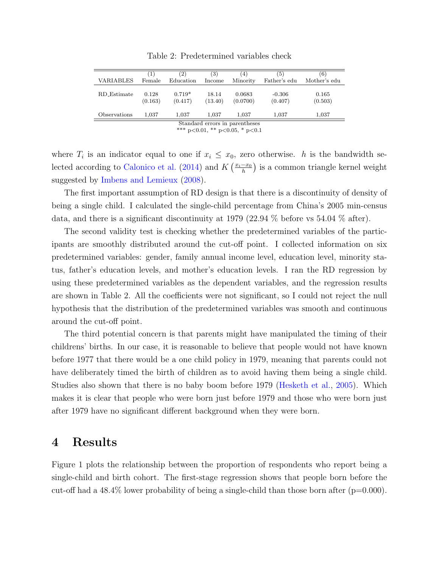|                                | $\left(1\right)$ | (2)                 | (3)              | 4)                 | (5)                 | (6)              |
|--------------------------------|------------------|---------------------|------------------|--------------------|---------------------|------------------|
| VARIABLES                      | Female           | Education           | Income           | Minority           | Father's edu        | Mother's edu     |
| <b>RD_Estimate</b>             | 0.128<br>(0.163) | $0.719*$<br>(0.417) | 18.14<br>(13.40) | 0.0683<br>(0.0700) | $-0.306$<br>(0.407) | 0.165<br>(0.503) |
| Observations                   | 1.037            | 1.037               | 1.037            | 1,037              | 1.037               | 1,037            |
| Standard errors in parentheses |                  |                     |                  |                    |                     |                  |

Table 2: Predetermined variables check

\*\*\* p<0.01, \*\* p<0.05, \* p<0.1

where  $T_i$  is an indicator equal to one if  $x_i \leq x_0$ , zero otherwise. h is the bandwidth selected according to Calonico et al. (2014) and  $K\left(\frac{x_i-x_0}{h}\right)$  $\frac{-x_0}{h}$ ) is a common triangle kernel weight suggested by Imbens and Lemieux (2008).

The first important assumption of RD design is that there is a discontinuity of density of being a single child. I calculated the single-child percentage from China's 2005 min-census data, and there is a significant discontinuity at 1979 (22.94 % before vs 54.04 % after).

The second validity test is checking whether the predetermined variables of the participants are smoothly distributed around the cut-off point. I collected information on six predetermined variables: gender, family annual income level, education level, minority status, father's education levels, and mother's education levels. I ran the RD regression by using these predetermined variables as the dependent variables, and the regression results are shown in Table 2. All the coefficients were not significant, so I could not reject the null hypothesis that the distribution of the predetermined variables was smooth and continuous around the cut-off point.

The third potential concern is that parents might have manipulated the timing of their childrens' births. In our case, it is reasonable to believe that people would not have known before 1977 that there would be a one child policy in 1979, meaning that parents could not have deliberately timed the birth of children as to avoid having them being a single child. Studies also shown that there is no baby boom before 1979 (Hesketh et al., 2005). Which makes it is clear that people who were born just before 1979 and those who were born just after 1979 have no significant different background when they were born.

#### 4 Results

Figure 1 plots the relationship between the proportion of respondents who report being a single-child and birth cohort. The first-stage regression shows that people born before the cut-off had a  $48.4\%$  lower probability of being a single-child than those born after ( $p=0.000$ ).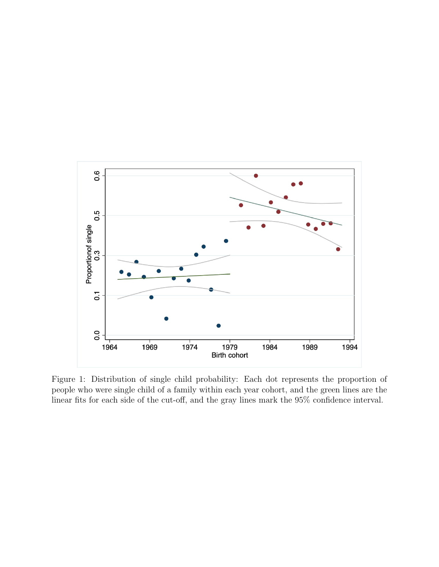

Figure 1: Distribution of single child probability: Each dot represents the proportion of people who were single child of a family within each year cohort, and the green lines are the linear fits for each side of the cut-off, and the gray lines mark the 95% confidence interval.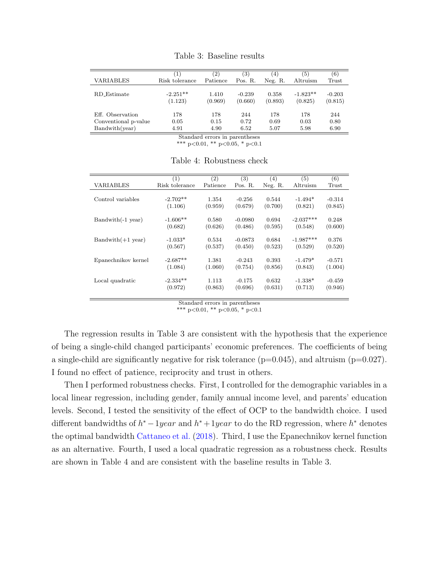| <b>VARIABLES</b>     | $\mathbf{1}$   | $\left( 2\right)$ | $\left( 3\right)$ | $\left(4\right)$ | '5)        | (6)      |
|----------------------|----------------|-------------------|-------------------|------------------|------------|----------|
|                      | Risk tolerance | Patience          | Pos. R.           | Neg. R.          | Altruism   | Trust    |
| R.D_Estimate         | $-2.251**$     | 1.410             | $-0.239$          | 0.358            | $-1.823**$ | $-0.203$ |
|                      | (1.123)        | (0.969)           | (0.660)           | (0.893)          | (0.825)    | (0.815)  |
| Eff. Observation     | 178            | 178               | 244               | 178              | 178        | 244      |
| Conventional p-value | 0.05           | 0.15              | 0.72              | 0.69             | 0.03       | 0.80     |
| Bandwith(year)       | 4.91           | 4.90              | 6.52              | 5.07             | 5.98       | 6.90     |

Table 3: Baseline results

Standard errors in parentheses

\*\*\* p<0.01, \*\* p<0.05, \* p<0.1

|                     | (1)            | (2)      | (3)       | (4)     | (5)         | (6)      |
|---------------------|----------------|----------|-----------|---------|-------------|----------|
| <b>VARIABLES</b>    | Risk tolerance | Patience | Pos. R.   | Neg. R. | Altruism    | Trust    |
|                     |                |          |           |         |             |          |
| Control variables   | $-2.702**$     | 1.354    | $-0.256$  | 0.544   | $-1.494*$   | $-0.314$ |
|                     | (1.106)        | (0.959)  | (0.679)   | (0.700) | (0.821)     | (0.845)  |
|                     |                |          |           |         |             |          |
| $Bandwith(-1 year)$ | $-1.606**$     | 0.580    | $-0.0980$ | 0.694   | $-2.037***$ | 0.248    |
|                     | (0.682)        | (0.626)  | (0.486)   | (0.595) | (0.548)     | (0.600)  |
|                     |                |          |           |         |             |          |
| $Bandwith(+1 year)$ | $-1.033*$      | 0.534    | $-0.0873$ | 0.684   | $-1.987***$ | 0.376    |
|                     | (0.567)        | (0.537)  | (0.450)   | (0.523) | (0.529)     | (0.520)  |
|                     |                |          |           |         |             |          |
| Epanechnikov kernel | $-2.687**$     | 1.381    | $-0.243$  | 0.393   | $-1.479*$   | $-0.571$ |
|                     | (1.084)        | (1.060)  | (0.754)   | (0.856) | (0.843)     | (1.004)  |
|                     |                |          |           |         |             |          |
| Local quadratic     | $-2.334**$     | 1.113    | $-0.175$  | 0.632   | $-1.338*$   | $-0.459$ |
|                     | (0.972)        | (0.863)  | (0.696)   | (0.631) | (0.713)     | (0.946)  |
|                     |                |          |           |         |             |          |

Table 4: Robustness check

Standard errors in parentheses

\*\*\* p<0.01, \*\* p<0.05, \* p<0.1

The regression results in Table 3 are consistent with the hypothesis that the experience of being a single-child changed participants' economic preferences. The coefficients of being a single-child are significantly negative for risk tolerance  $(p=0.045)$ , and altruism  $(p=0.027)$ . I found no effect of patience, reciprocity and trust in others.

Then I performed robustness checks. First, I controlled for the demographic variables in a local linear regression, including gender, family annual income level, and parents' education levels. Second, I tested the sensitivity of the effect of OCP to the bandwidth choice. I used different bandwidths of  $h^* - 1year$  and  $h^* + 1year$  to do the RD regression, where  $h^*$  denotes the optimal bandwidth Cattaneo et al. (2018). Third, I use the Epanechnikov kernel function as an alternative. Fourth, I used a local quadratic regression as a robustness check. Results are shown in Table 4 and are consistent with the baseline results in Table 3.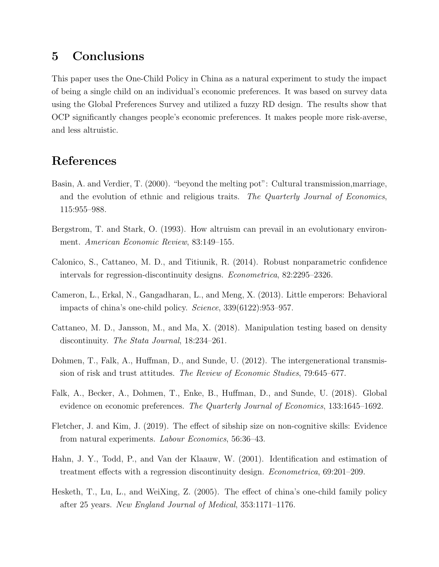### 5 Conclusions

This paper uses the One-Child Policy in China as a natural experiment to study the impact of being a single child on an individual's economic preferences. It was based on survey data using the Global Preferences Survey and utilized a fuzzy RD design. The results show that OCP significantly changes people's economic preferences. It makes people more risk-averse, and less altruistic.

## References

- Basin, A. and Verdier, T. (2000). "beyond the melting pot": Cultural transmission,marriage, and the evolution of ethnic and religious traits. The Quarterly Journal of Economics, 115:955–988.
- Bergstrom, T. and Stark, O. (1993). How altruism can prevail in an evolutionary environment. American Economic Review, 83:149–155.
- Calonico, S., Cattaneo, M. D., and Titiunik, R. (2014). Robust nonparametric confidence intervals for regression-discontinuity designs. Econometrica, 82:2295–2326.
- Cameron, L., Erkal, N., Gangadharan, L., and Meng, X. (2013). Little emperors: Behavioral impacts of china's one-child policy. Science, 339(6122):953–957.
- Cattaneo, M. D., Jansson, M., and Ma, X. (2018). Manipulation testing based on density discontinuity. The Stata Journal, 18:234–261.
- Dohmen, T., Falk, A., Huffman, D., and Sunde, U. (2012). The intergenerational transmission of risk and trust attitudes. The Review of Economic Studies, 79:645–677.
- Falk, A., Becker, A., Dohmen, T., Enke, B., Huffman, D., and Sunde, U. (2018). Global evidence on economic preferences. The Quarterly Journal of Economics, 133:1645–1692.
- Fletcher, J. and Kim, J. (2019). The effect of sibship size on non-cognitive skills: Evidence from natural experiments. Labour Economics, 56:36–43.
- Hahn, J. Y., Todd, P., and Van der Klaauw, W. (2001). Identification and estimation of treatment effects with a regression discontinuity design. Econometrica, 69:201–209.
- Hesketh, T., Lu, L., and WeiXing, Z. (2005). The effect of china's one-child family policy after 25 years. New England Journal of Medical, 353:1171–1176.